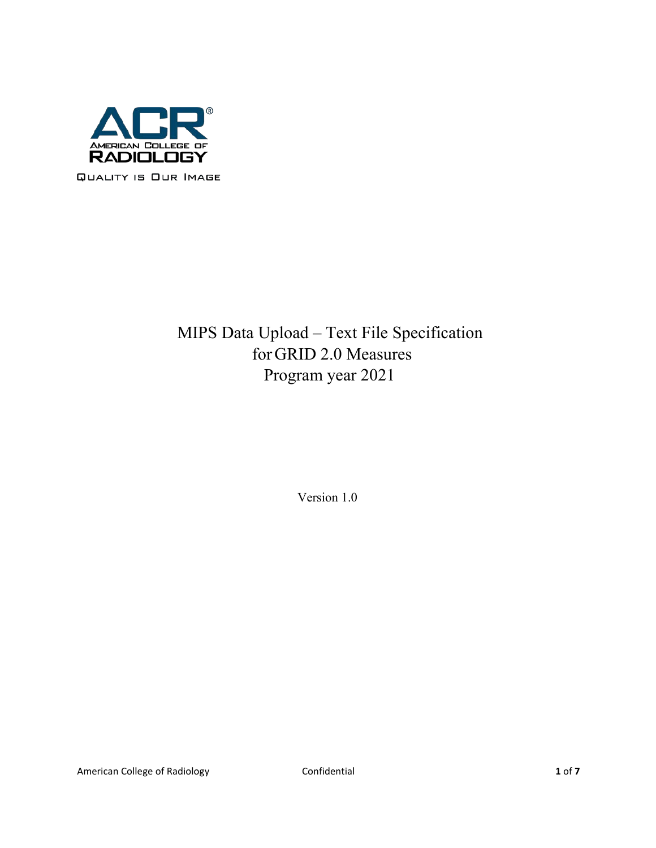

# MIPS Data Upload – Text File Specification forGRID 2.0 Measures Program year 2021

Version 1.0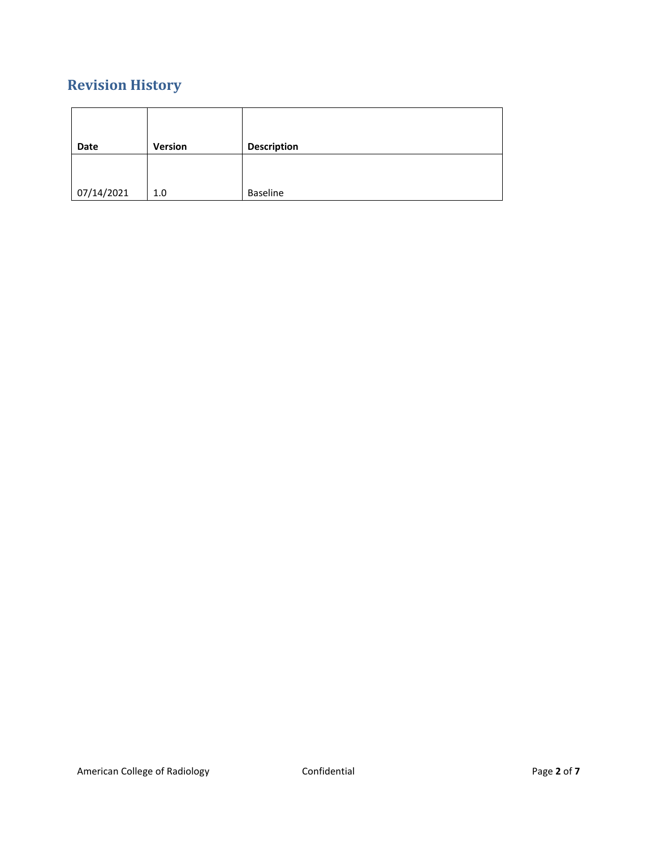## **Revision History**

| Date       | Version | <b>Description</b> |
|------------|---------|--------------------|
|            |         |                    |
|            |         |                    |
| 07/14/2021 | 1.0     | Baseline           |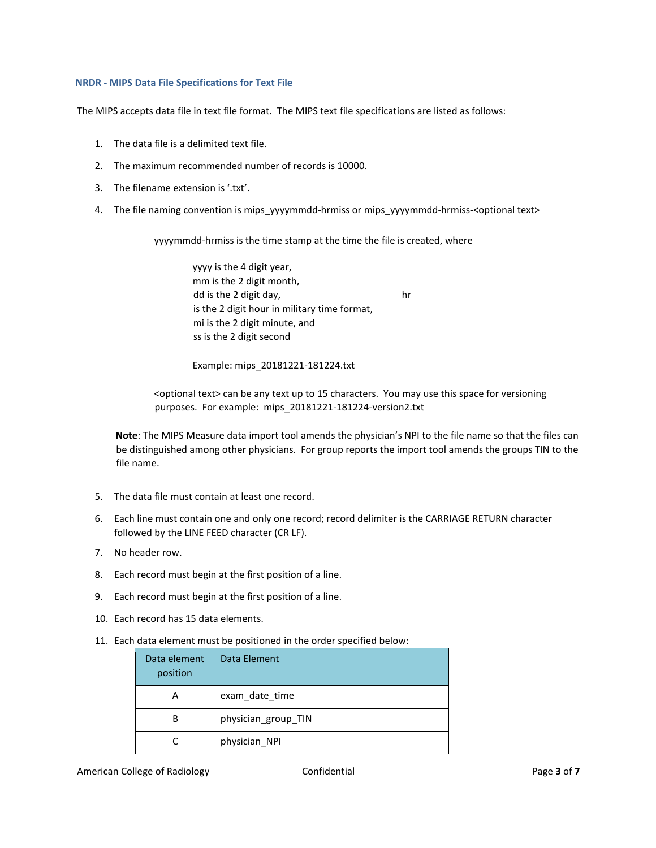#### **NRDR - MIPS Data File Specifications for Text File**

The MIPS accepts data file in text file format. The MIPS text file specifications are listed as follows:

- 1. The data file is a delimited text file.
- 2. The maximum recommended number of records is 10000.
- 3. The filename extension is '.txt'.
- 4. The file naming convention is mips\_yyyymmdd-hrmiss or mips\_yyyymmdd-hrmiss-<optional text>

yyyymmdd-hrmiss is the time stamp at the time the file is created, where

 yyyy is the 4 digit year, mm is the 2 digit month, dd is the 2 digit day, hr is the 2 digit hour in military time format, mi is the 2 digit minute, and ss is the 2 digit second

Example: mips\_20181221-181224.txt

<optional text> can be any text up to 15 characters. You may use this space for versioning purposes. For example: mips\_20181221-181224-version2.txt

**Note**: The MIPS Measure data import tool amends the physician's NPI to the file name so that the files can be distinguished among other physicians. For group reports the import tool amends the groups TIN to the file name.

- 5. The data file must contain at least one record.
- 6. Each line must contain one and only one record; record delimiter is the CARRIAGE RETURN character followed by the LINE FEED character (CR LF).
- 7. No header row.
- 8. Each record must begin at the first position of a line.
- 9. Each record must begin at the first position of a line.
- 10. Each record has 15 data elements.
- 11. Each data element must be positioned in the order specified below:

| Data element<br>position | Data Element        |
|--------------------------|---------------------|
| А                        | exam date time      |
| В                        | physician_group_TIN |
|                          | physician_NPI       |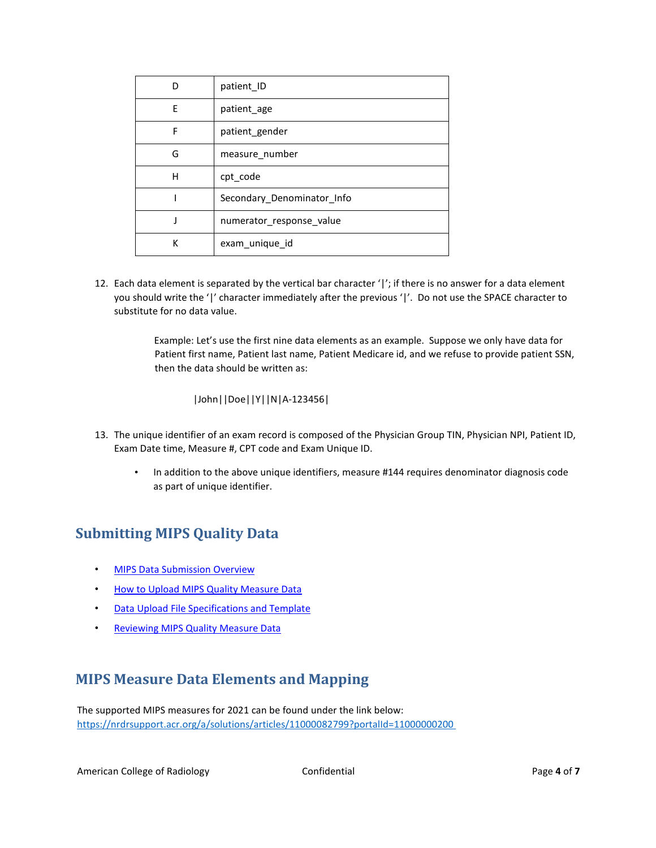|   | patient ID                 |
|---|----------------------------|
| F | patient_age                |
| F | patient gender             |
| G | measure number             |
| Н | cpt code                   |
|   | Secondary_Denominator_Info |
|   | numerator response value   |
| к | exam_unique id             |

12. Each data element is separated by the vertical bar character '|'; if there is no answer for a data element you should write the '|' character immediately after the previous '|'. Do not use the SPACE character to substitute for no data value.

> Example: Let's use the first nine data elements as an example. Suppose we only have data for Patient first name, Patient last name, Patient Medicare id, and we refuse to provide patient SSN, then the data should be written as:

|John||Doe||Y||N|A-123456|

- 13. The unique identifier of an exam record is composed of the Physician Group TIN, Physician NPI, Patient ID, Exam Date time, Measure #, CPT code and Exam Unique ID.
	- In addition to the above unique identifiers, measure #144 requires denominator diagnosis code as part of unique identifier.

### **Submitting MIPS Quality Data**

- **MIPS Data Submission Overview**
- [How to Upload MIPS Quality Measure Data](https://nrdrsupport.acr.org/support/solutions/articles/11000037924-how-to-upload-mips-quality-measure-data)
- [Data Upload File Specifications and Template](https://nrdrsupport.acr.org/support/solutions/articles/11000038293-data-upload-file-specifications-and-template)
- Reviewing [MIPS Quality Measure Data](https://nrdrsupport.acr.org/support/solutions/articles/11000037922-reviewing-mips-quality-measure-data)

### **MIPS Measure Data Elements and Mapping**

The supported MIPS measures for 2021 can be found under the link below: <https://nrdrsupport.acr.org/a/solutions/articles/11000082799?portalId=11000000200>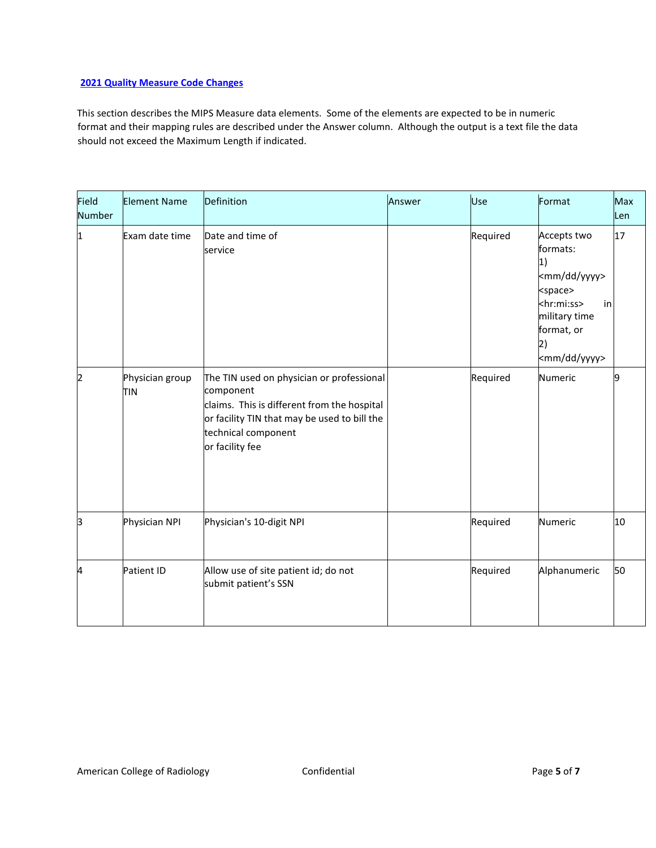### **2021 Quality Measure Code Changes**

This section describes the MIPS Measure data elements. Some of the elements are expected to be in numeric format and their mapping rules are described under the Answer column. Although the output is a text file the data should not exceed the Maximum Length if indicated.

| Field<br><b>Number</b> | <b>Element Name</b>    | Definition                                                                                                                                                                                      | Answer | Use      | Format                                                                                                                                                                             | Max<br>Len |
|------------------------|------------------------|-------------------------------------------------------------------------------------------------------------------------------------------------------------------------------------------------|--------|----------|------------------------------------------------------------------------------------------------------------------------------------------------------------------------------------|------------|
| 1                      | Exam date time         | Date and time of<br>service                                                                                                                                                                     |        | Required | Accepts two<br>formats:<br>1)<br><mm dd="" yyyy=""><br/><space><br/><hr:mi:ss><br/>in<br/>military time<br/>format, or<br/> 2)<br/><mm dd="" yyyy=""></mm></hr:mi:ss></space></mm> | 17         |
| 2                      | Physician group<br>TIN | The TIN used on physician or professional<br>component<br>claims. This is different from the hospital<br>or facility TIN that may be used to bill the<br>technical component<br>or facility fee |        | Required | Numeric                                                                                                                                                                            | 19         |
| З                      | Physician NPI          | Physician's 10-digit NPI                                                                                                                                                                        |        | Required | Numeric                                                                                                                                                                            | 10         |
| 4                      | Patient ID             | Allow use of site patient id; do not<br>submit patient's SSN                                                                                                                                    |        | Required | Alphanumeric                                                                                                                                                                       | 50         |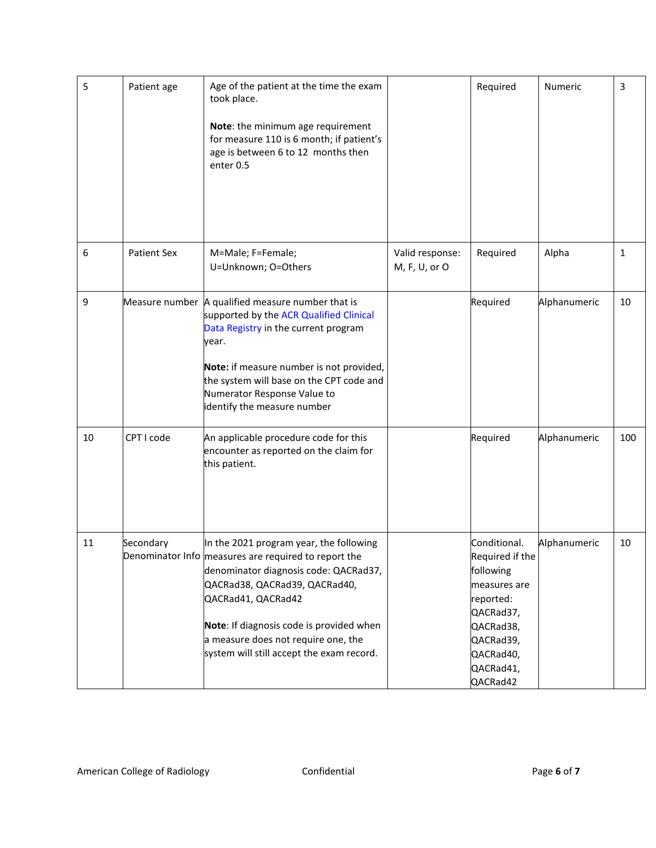| 5  | Patient age        | Age of the patient at the time the exam<br>took place.<br>Note: the minimum age requirement<br>for measure 110 is 6 month; if patient's<br>age is between 6 to 12 months then<br>enter 0.5                                                                                                                                      |                                  | Required                                                                                                                                               | Numeric      | 3            |
|----|--------------------|---------------------------------------------------------------------------------------------------------------------------------------------------------------------------------------------------------------------------------------------------------------------------------------------------------------------------------|----------------------------------|--------------------------------------------------------------------------------------------------------------------------------------------------------|--------------|--------------|
| 6  | <b>Patient Sex</b> | M=Male; F=Female;<br>U=Unknown; O=Others                                                                                                                                                                                                                                                                                        | Valid response:<br>M, F, U, or O | Required                                                                                                                                               | Alpha        | $\mathbf{1}$ |
| 9  |                    | Measure number A qualified measure number that is<br>supported by the ACR Qualified Clinical<br>Data Registry in the current program<br>year.<br>Note: if measure number is not provided,<br>the system will base on the CPT code and<br>Numerator Response Value to<br>identify the measure number                             |                                  | Required                                                                                                                                               | Alphanumeric | 10           |
| 10 | CPT I code         | An applicable procedure code for this<br>encounter as reported on the claim for<br>this patient.                                                                                                                                                                                                                                |                                  | Required                                                                                                                                               | Alphanumeric | 100          |
| 11 | Secondary          | In the 2021 program year, the following<br>Denominator Info measures are required to report the<br>denominator diagnosis code: QACRad37,<br>QACRad38, QACRad39, QACRad40,<br>QACRad41, QACRad42<br>Note: If diagnosis code is provided when<br>a measure does not require one, the<br>system will still accept the exam record. |                                  | Conditional.<br>Required if the<br>following<br>measures are<br>reported:<br>QACRad37,<br>QACRad38,<br>QACRad39,<br>QACRad40,<br>QACRad41,<br>QACRad42 | Alphanumeric | 10           |